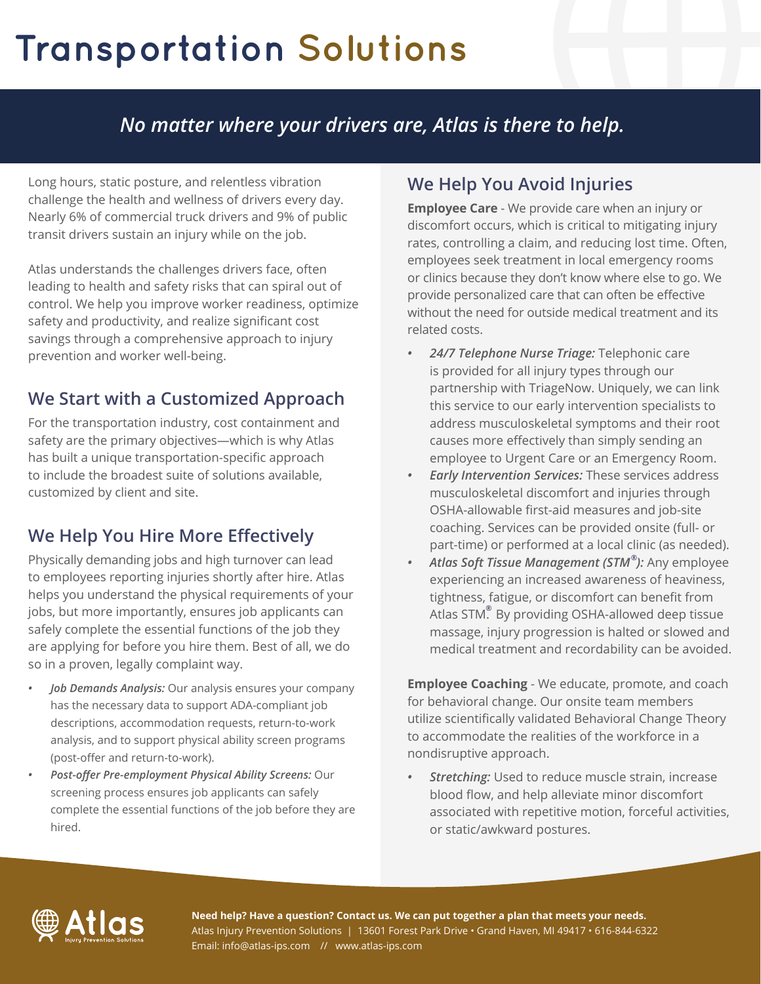# **Transportation Solutions**

## *No matter where your drivers are, Atlas is there to help.*

Long hours, static posture, and relentless vibration challenge the health and wellness of drivers every day. Nearly 6% of commercial truck drivers and 9% of public transit drivers sustain an injury while on the job.

Atlas understands the challenges drivers face, often leading to health and safety risks that can spiral out of control. We help you improve worker readiness, optimize safety and productivity, and realize significant cost savings through a comprehensive approach to injury prevention and worker well-being.

## **We Start with a Customized Approach**

For the transportation industry, cost containment and safety are the primary objectives—which is why Atlas has built a unique transportation-specific approach to include the broadest suite of solutions available, customized by client and site.

## **We Help You Hire More Effectively**

Physically demanding jobs and high turnover can lead to employees reporting injuries shortly after hire. Atlas helps you understand the physical requirements of your jobs, but more importantly, ensures job applicants can safely complete the essential functions of the job they are applying for before you hire them. Best of all, we do so in a proven, legally complaint way.

- *• Job Demands Analysis:* Our analysis ensures your company has the necessary data to support ADA-compliant job descriptions, accommodation requests, return-to-work analysis, and to support physical ability screen programs (post-offer and return-to-work).
- *• Post-offer Pre-employment Physical Ability Screens:* Our screening process ensures job applicants can safely complete the essential functions of the job before they are hired.

## **We Help You Avoid Injuries**

**Employee Care** - We provide care when an injury or discomfort occurs, which is critical to mitigating injury rates, controlling a claim, and reducing lost time. Often, employees seek treatment in local emergency rooms or clinics because they don't know where else to go. We provide personalized care that can often be effective without the need for outside medical treatment and its related costs.

- *• 24/7 Telephone Nurse Triage:* Telephonic care is provided for all injury types through our partnership with TriageNow. Uniquely, we can link this service to our early intervention specialists to address musculoskeletal symptoms and their root causes more effectively than simply sending an employee to Urgent Care or an Emergency Room.
- *• Early Intervention Services:* These services address musculoskeletal discomfort and injuries through OSHA-allowable first-aid measures and job-site coaching. Services can be provided onsite (full- or part-time) or performed at a local clinic (as needed).
- *• Atlas Soft Tissue Management (STM ):* Any employee **®** experiencing an increased awareness of heaviness, tightness, fatigue, or discomfort can benefit from Atlas STM. By providing OSHA-allowed deep tissue **®**massage, injury progression is halted or slowed and medical treatment and recordability can be avoided.

**Employee Coaching** - We educate, promote, and coach for behavioral change. Our onsite team members utilize scientifically validated Behavioral Change Theory to accommodate the realities of the workforce in a nondisruptive approach.

*• Stretching:* Used to reduce muscle strain, increase blood flow, and help alleviate minor discomfort associated with repetitive motion, forceful activities, or static/awkward postures.



**Need help? Have a question? Contact us. We can put together a plan that meets your needs.** Atlas Injury Prevention Solutions | 13601 Forest Park Drive • Grand Haven, MI 49417 • 616-844-6322 Email: info@atlas-ips.com // www.atlas-ips.com